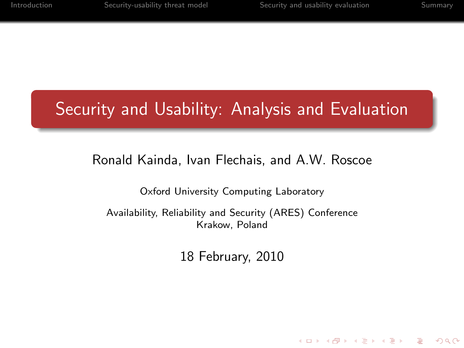**KOD KARD KED KED E VOQO** 

# Security and Usability: Analysis and Evaluation

#### Ronald Kainda, Ivan Flechais, and A.W. Roscoe

Oxford University Computing Laboratory

Availability, Reliability and Security (ARES) Conference Krakow, Poland

18 February, 2010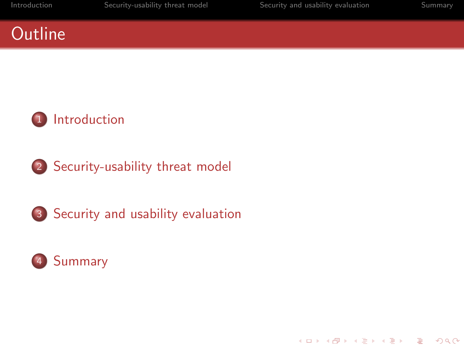## **Outline**



[Security-usability threat model](#page-14-0)





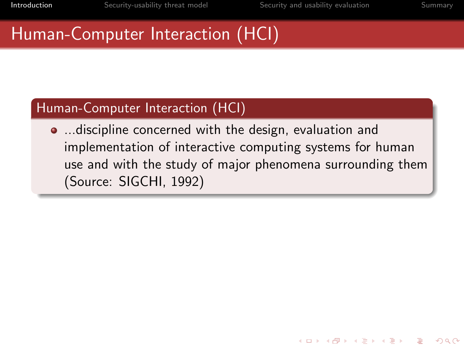<span id="page-2-0"></span>K ロ ▶ K @ ▶ K 할 ▶ K 할 ▶ 이 할 → 9 Q @

## Human-Computer Interaction (HCI)

#### Human-Computer Interaction (HCI)

**...** discipline concerned with the design, evaluation and implementation of interactive computing systems for human use and with the study of major phenomena surrounding them (Source: SIGCHI, 1992)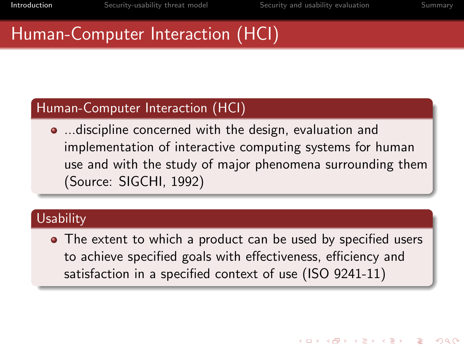**KORK ERKER ORANDI** 

## Human-Computer Interaction (HCI)

#### Human-Computer Interaction (HCI)

**...** discipline concerned with the design, evaluation and implementation of interactive computing systems for human use and with the study of major phenomena surrounding them (Source: SIGCHI, 1992)

#### **Usability**

• The extent to which a product can be used by specified users to achieve specified goals with effectiveness, efficiency and satisfaction in a specified context of use (ISO 9241-11)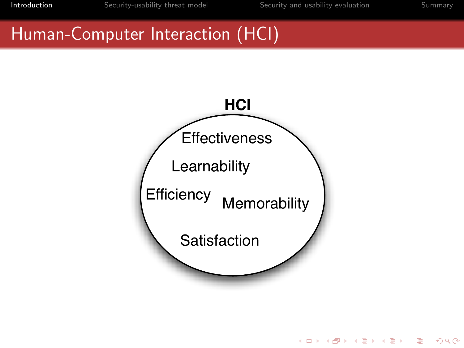K ロ > K 倒 > K ミ > K ミ > → ミ → の Q Q →

## Human-Computer Interaction (HCI)

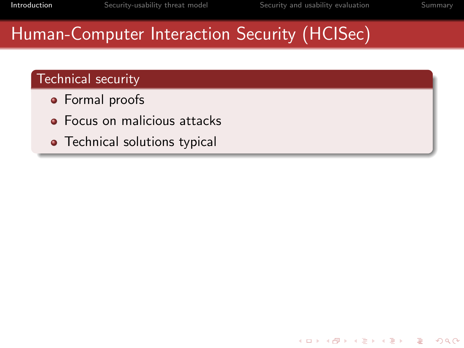**KORK SERVER SHOP** 

# Human-Computer Interaction Security (HCISec)

#### Technical security

- **•** Formal proofs
- **•** Focus on malicious attacks
- Technical solutions typical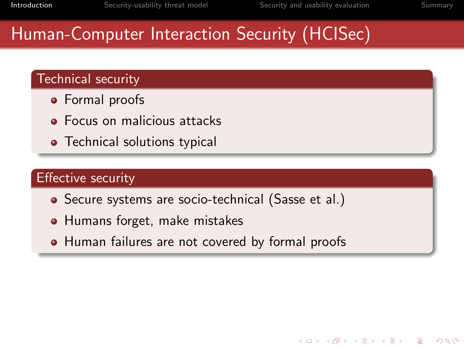# Human-Computer Interaction Security (HCISec)

#### Technical security

- **•** Formal proofs
- **•** Focus on malicious attacks
- Technical solutions typical

#### Effective security

- Secure systems are socio-technical (Sasse et al.)
- Humans forget, make mistakes
- Human failures are not covered by formal proofs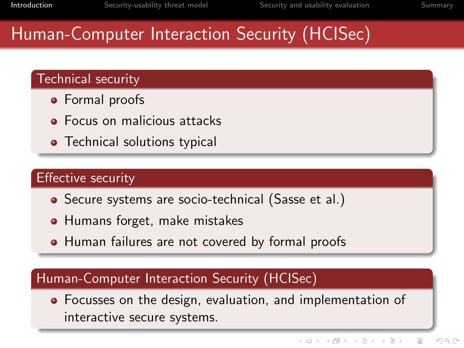# Human-Computer Interaction Security (HCISec)

#### Technical security

- **•** Formal proofs
- **•** Focus on malicious attacks
- Technical solutions typical

#### Effective security

- Secure systems are socio-technical (Sasse et al.)
- Humans forget, make mistakes
- Human failures are not covered by formal proofs

#### Human-Computer Interaction Security (HCISec)

Focusses on the design, evaluation, and implementation of interactive secure systems.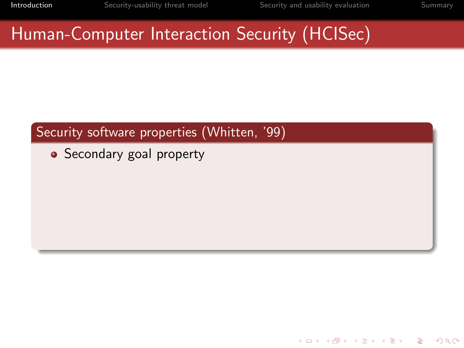Human-Computer Interaction Security (HCISec)

#### Security software properties (Whitten, '99)

• Secondary goal property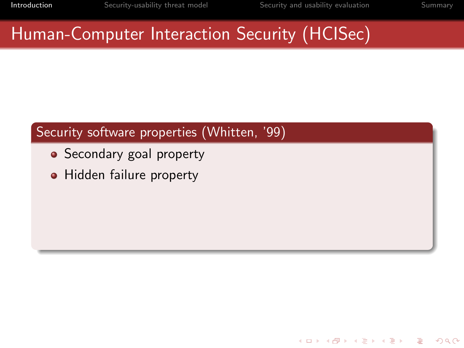# Human-Computer Interaction Security (HCISec)

- Secondary goal property
- Hidden failure property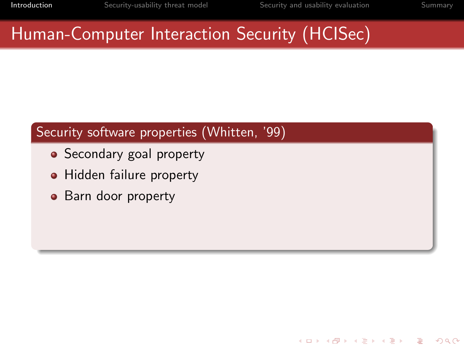# Human-Computer Interaction Security (HCISec)

- Secondary goal property
- Hidden failure property
- Barn door property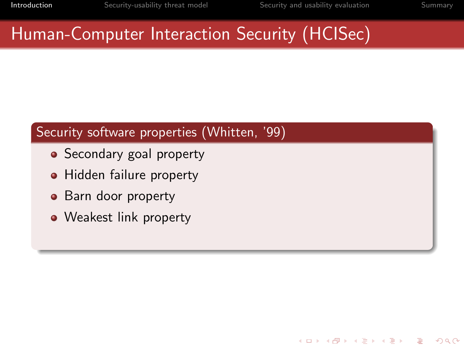# Human-Computer Interaction Security (HCISec)

- Secondary goal property
- Hidden failure property
- Barn door property
- Weakest link property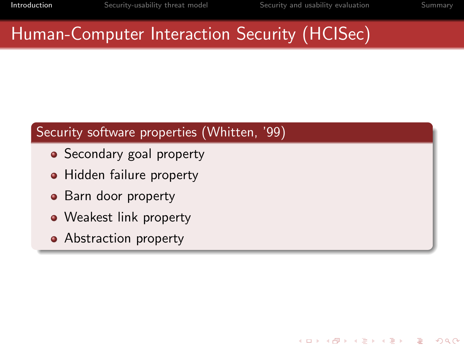# Human-Computer Interaction Security (HCISec)

- Secondary goal property
- Hidden failure property
- Barn door property
- Weakest link property
- Abstraction property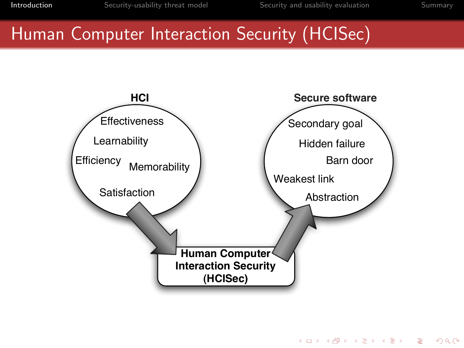**KORK SERVER SHOP** 

## Human Computer Interaction Security (HCISec)

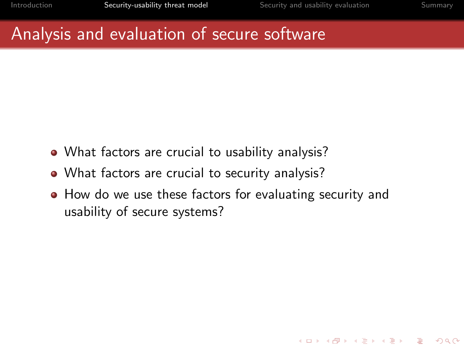<span id="page-14-0"></span>**KORK ERKER ORANDI** 

## Analysis and evaluation of secure software

- What factors are crucial to usability analysis?
- What factors are crucial to security analysis?
- How do we use these factors for evaluating security and usability of secure systems?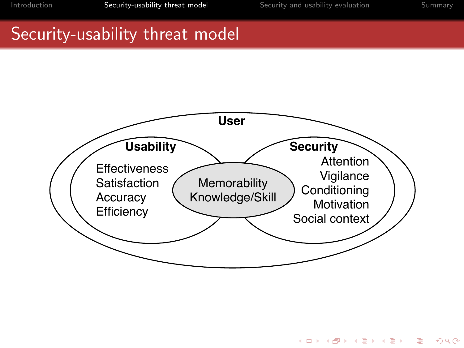K ロ > K @ > K 할 > K 할 > 1 할 > 9 Q Q\*

## Security-usability threat model

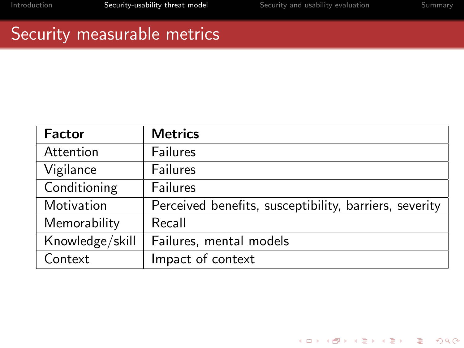K ロ ▶ K @ ▶ K 할 ▶ K 할 ▶ | 할 | © 9 Q @

### Security measurable metrics

| <b>Factor</b>   | <b>Metrics</b>                                         |  |  |
|-----------------|--------------------------------------------------------|--|--|
| Attention       | <b>Failures</b>                                        |  |  |
| Vigilance       | <b>Failures</b>                                        |  |  |
| Conditioning    | <b>Failures</b>                                        |  |  |
| Motivation      | Perceived benefits, susceptibility, barriers, severity |  |  |
| Memorability    | Recall                                                 |  |  |
| Knowledge/skill | Failures, mental models                                |  |  |
| Context         | Impact of context                                      |  |  |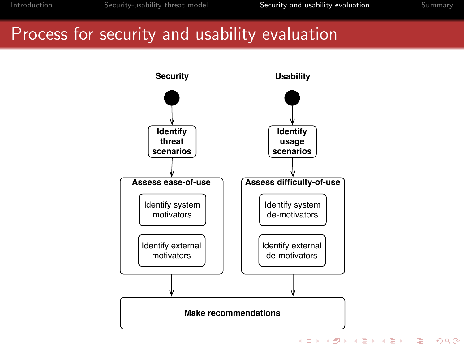## Process for security and usability evaluation



<span id="page-17-0"></span>**KORK SERVER SHOP**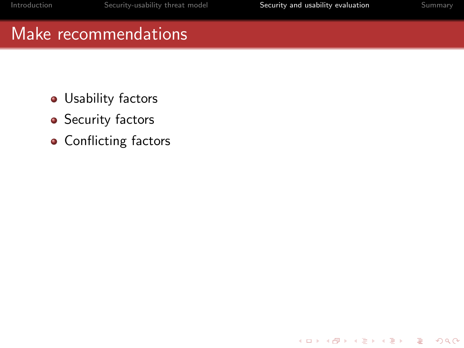K ロ > K @ > K 할 > K 할 > 1 할 > 9 Q Q\*

## Make recommendations

- **·** Usability factors
- Security factors
- Conflicting factors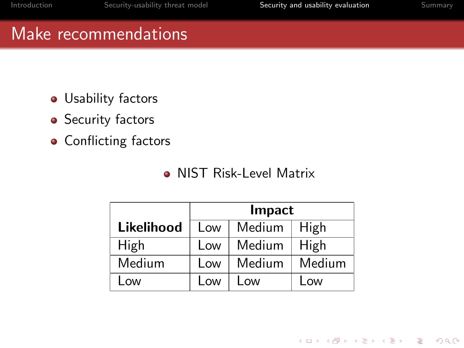K ロ > K @ > K 할 > K 할 > 1 할 > 9 Q Q\*

## Make recommendations

- **·** Usability factors
- Security factors
- Conflicting factors

#### **Q NIST Risk-Level Matrix**

|            | Impact |        |        |
|------------|--------|--------|--------|
| Likelihood | Low    | Medium | High   |
| High       | Low    | Medium | High   |
| Medium     | Low    | Medium | Medium |
| LOW        | l ow   | l ow   | Low    |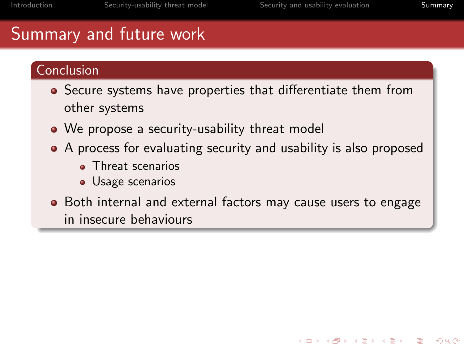# Summary and future work

#### Conclusion

- Secure systems have properties that differentiate them from other systems
- We propose a security-usability threat model
- A process for evaluating security and usability is also proposed
	- **Threat scenarios**
	- **Usage scenarios**
- <span id="page-20-0"></span>• Both internal and external factors may cause users to engage in insecure behaviours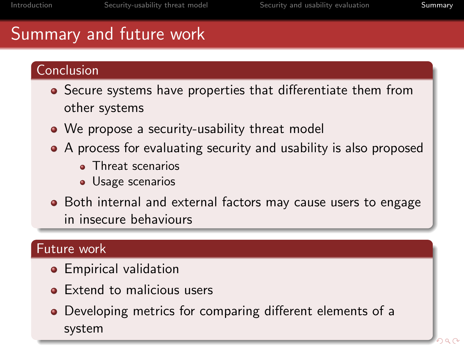# Summary and future work

#### Conclusion

- Secure systems have properties that differentiate them from other systems
- We propose a security-usability threat model
- A process for evaluating security and usability is also proposed
	- **Threat scenarios**
	- **Usage scenarios**
- Both internal and external factors may cause users to engage in insecure behaviours

#### Future work

- **•** Empirical validation
- Extend to malicious users
- Developing metrics for comparing different elements of a system